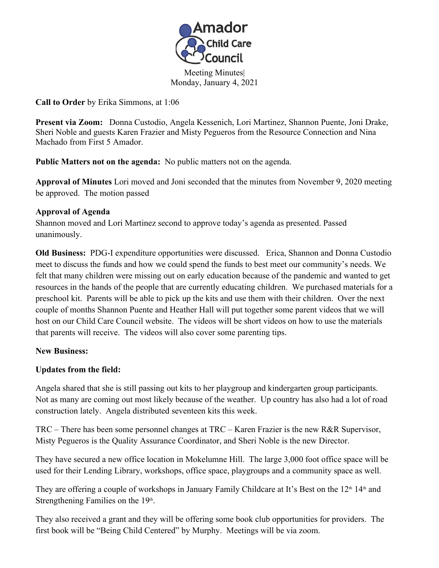

Meeting Minutes| Monday, January 4, 2021

**Call to Order** by Erika Simmons, at 1:06

**Present via Zoom:** Donna Custodio, Angela Kessenich, Lori Martinez, Shannon Puente, Joni Drake, Sheri Noble and guests Karen Frazier and Misty Pegueros from the Resource Connection and Nina Machado from First 5 Amador.

**Public Matters not on the agenda:** No public matters not on the agenda. **Approval of Minutes** Lori moved and Joni seconded that the minutes from November 9, 2020 meeting be approved. The motion passed

## **Approval of Agenda**

Shannon moved and Lori Martinez second to approve today's agenda as presented. Passed unanimously.

**Old Business:** PDG-I expenditure opportunities were discussed. Erica, Shannon and Donna Custodio meet to discuss the funds and how we could spend the funds to best meet our community's needs. We felt that many children were missing out on early education because of the pandemic and wanted to get resources in the hands of the people that are currently educating children. We purchased materials for a preschool kit. Parents will be able to pick up the kits and use them with their children. Over the next couple of months Shannon Puente and Heather Hall will put together some parent videos that we will host on our Child Care Council website. The videos will be short videos on how to use the materials that parents will receive. The videos will also cover some parenting tips.

## **New Business:**

## **Updates from the field:**

Angela shared that she is still passing out kits to her playgroup and kindergarten group participants. Not as many are coming out most likely because of the weather. Up country has also had a lot of road construction lately. Angela distributed seventeen kits this week.

TRC – There has been some personnel changes at TRC – Karen Frazier is the new R&R Supervisor, Misty Pegueros is the Quality Assurance Coordinator, and Sheri Noble is the new Director.

They have secured a new office location in Mokelumne Hill. The large 3,000 foot office space will be used for their Lending Library, workshops, office space, playgroups and a community space as well.

They are offering a couple of workshops in January Family Childcare at It's Best on the 12<sup>th</sup> 14<sup>th</sup> and Strengthening Families on the  $19<sup>th</sup>$ .

. They also received a grant and they will be offering some book club opportunities for providers. The first book will be "Being Child Centered" by Murphy. Meetings will be via zoom.